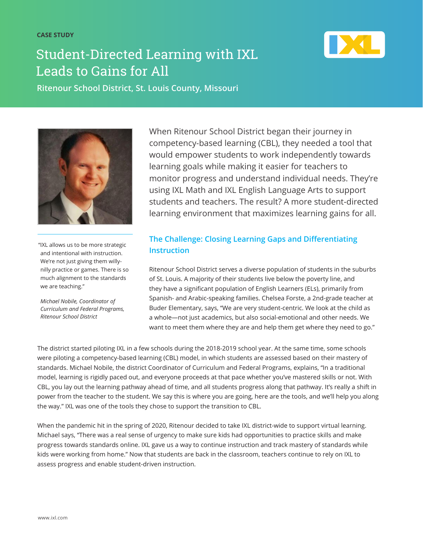# Student-Directed Learning with IXL Leads to Gains for All



**Ritenour School District, St. Louis County, Missouri**



"IXL allows us to be more strategic and intentional with instruction. We're not just giving them willynilly practice or games. There is so much alignment to the standards we are teaching."

*Michael Nobile, Coordinator of Curriculum and Federal Programs, Ritenour School District*

When Ritenour School District began their journey in competency-based learning (CBL), they needed a tool that would empower students to work independently towards learning goals while making it easier for teachers to monitor progress and understand individual needs. They're using IXL Math and IXL English Language Arts to support students and teachers. The result? A more student-directed learning environment that maximizes learning gains for all.

# **The Challenge: Closing Learning Gaps and Differentiating Instruction**

Ritenour School District serves a diverse population of students in the suburbs of St. Louis. A majority of their students live below the poverty line, and they have a significant population of English Learners (ELs), primarily from Spanish- and Arabic-speaking families. Chelsea Forste, a 2nd-grade teacher at Buder Elementary, says, "We are very student-centric. We look at the child as a whole—not just academics, but also social-emotional and other needs. We want to meet them where they are and help them get where they need to go."

The district started piloting IXL in a few schools during the 2018-2019 school year. At the same time, some schools were piloting a competency-based learning (CBL) model, in which students are assessed based on their mastery of standards. Michael Nobile, the district Coordinator of Curriculum and Federal Programs, explains, "In a traditional model, learning is rigidly paced out, and everyone proceeds at that pace whether you've mastered skills or not. With CBL, you lay out the learning pathway ahead of time, and all students progress along that pathway. It's really a shift in power from the teacher to the student. We say this is where you are going, here are the tools, and we'll help you along the way." IXL was one of the tools they chose to support the transition to CBL.

When the pandemic hit in the spring of 2020, Ritenour decided to take IXL district-wide to support virtual learning. Michael says, "There was a real sense of urgency to make sure kids had opportunities to practice skills and make progress towards standards online. IXL gave us a way to continue instruction and track mastery of standards while kids were working from home." Now that students are back in the classroom, teachers continue to rely on IXL to assess progress and enable student-driven instruction.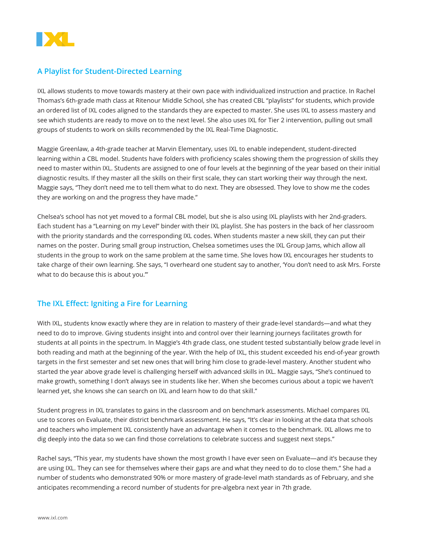

### **A Playlist for Student-Directed Learning**

IXL allows students to move towards mastery at their own pace with individualized instruction and practice. In Rachel Thomas's 6th-grade math class at Ritenour Middle School, she has created CBL "playlists" for students, which provide an ordered list of IXL codes aligned to the standards they are expected to master. She uses IXL to assess mastery and see which students are ready to move on to the next level. She also uses IXL for Tier 2 intervention, pulling out small groups of students to work on skills recommended by the IXL Real-Time Diagnostic.

Maggie Greenlaw, a 4th-grade teacher at Marvin Elementary, uses IXL to enable independent, student-directed learning within a CBL model. Students have folders with proficiency scales showing them the progression of skills they need to master within IXL. Students are assigned to one of four levels at the beginning of the year based on their initial diagnostic results. If they master all the skills on their first scale, they can start working their way through the next. Maggie says, "They don't need me to tell them what to do next. They are obsessed. They love to show me the codes they are working on and the progress they have made."

Chelsea's school has not yet moved to a formal CBL model, but she is also using IXL playlists with her 2nd-graders. Each student has a "Learning on my Level" binder with their IXL playlist. She has posters in the back of her classroom with the priority standards and the corresponding IXL codes. When students master a new skill, they can put their names on the poster. During small group instruction, Chelsea sometimes uses the IXL Group Jams, which allow all students in the group to work on the same problem at the same time. She loves how IXL encourages her students to take charge of their own learning. She says, "I overheard one student say to another, 'You don't need to ask Mrs. Forste what to do because this is about you.'"

#### **The IXL Effect: Igniting a Fire for Learning**

With IXL, students know exactly where they are in relation to mastery of their grade-level standards—and what they need to do to improve. Giving students insight into and control over their learning journeys facilitates growth for students at all points in the spectrum. In Maggie's 4th grade class, one student tested substantially below grade level in both reading and math at the beginning of the year. With the help of IXL, this student exceeded his end-of-year growth targets in the first semester and set new ones that will bring him close to grade-level mastery. Another student who started the year above grade level is challenging herself with advanced skills in IXL. Maggie says, "She's continued to make growth, something I don't always see in students like her. When she becomes curious about a topic we haven't learned yet, she knows she can search on IXL and learn how to do that skill."

Student progress in IXL translates to gains in the classroom and on benchmark assessments. Michael compares IXL use to scores on Evaluate, their district benchmark assessment. He says, "It's clear in looking at the data that schools and teachers who implement IXL consistently have an advantage when it comes to the benchmark. IXL allows me to dig deeply into the data so we can find those correlations to celebrate success and suggest next steps."

Rachel says, "This year, my students have shown the most growth I have ever seen on Evaluate—and it's because they are using IXL. They can see for themselves where their gaps are and what they need to do to close them." She had a number of students who demonstrated 90% or more mastery of grade-level math standards as of February, and she anticipates recommending a record number of students for pre-algebra next year in 7th grade.